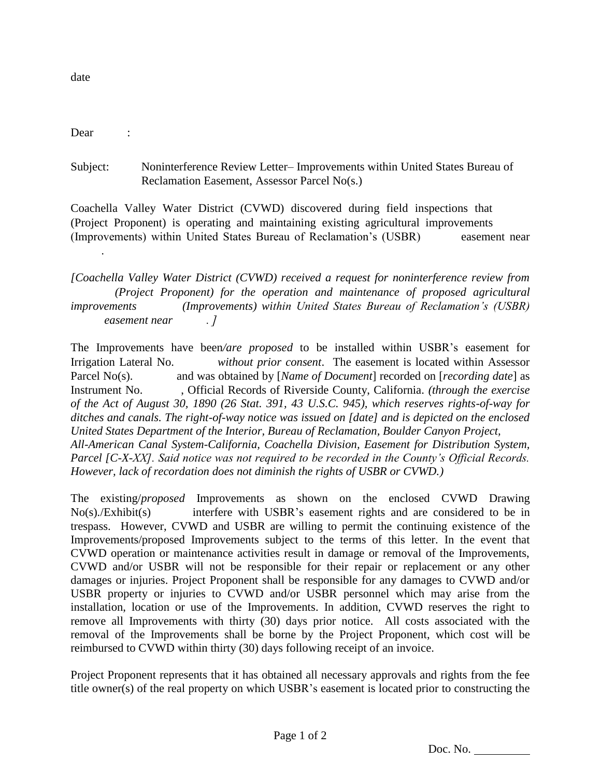date

Dear :

Subject: Noninterference Review Letter– Improvements within United States Bureau of Reclamation Easement, Assessor Parcel No(s.)

Coachella Valley Water District (CVWD) discovered during field inspections that (Project Proponent) is operating and maintaining existing agricultural improvements (Improvements) within United States Bureau of Reclamation's (USBR) easement near .

*[Coachella Valley Water District (CVWD) received a request for noninterference review from (Project Proponent) for the operation and maintenance of proposed agricultural improvements (Improvements) within United States Bureau of Reclamation's (USBR) easement near . ]*

The Improvements have been*/are proposed* to be installed within USBR's easement for Irrigation Lateral No. *without prior consent*. The easement is located within Assessor Parcel No(s). and was obtained by [*Name of Document*] recorded on [*recording date*] as Instrument No. , Official Records of Riverside County, California. *(through the exercise of the Act of August 30, 1890 (26 Stat. 391, 43 U.S.C. 945), which reserves rights-of-way for ditches and canals. The right-of-way notice was issued on [date] and is depicted on the enclosed United States Department of the Interior, Bureau of Reclamation, Boulder Canyon Project, All-American Canal System-California, Coachella Division, Easement for Distribution System, Parcel [C-X-XX]. Said notice was not required to be recorded in the County's Official Records. However, lack of recordation does not diminish the rights of USBR or CVWD.)*

The existing/*proposed* Improvements as shown on the enclosed CVWD Drawing No(s)./Exhibit(s) interfere with USBR's easement rights and are considered to be in trespass. However, CVWD and USBR are willing to permit the continuing existence of the Improvements/proposed Improvements subject to the terms of this letter. In the event that CVWD operation or maintenance activities result in damage or removal of the Improvements, CVWD and/or USBR will not be responsible for their repair or replacement or any other damages or injuries. Project Proponent shall be responsible for any damages to CVWD and/or USBR property or injuries to CVWD and/or USBR personnel which may arise from the installation, location or use of the Improvements. In addition, CVWD reserves the right to remove all Improvements with thirty (30) days prior notice. All costs associated with the removal of the Improvements shall be borne by the Project Proponent, which cost will be reimbursed to CVWD within thirty (30) days following receipt of an invoice.

Project Proponent represents that it has obtained all necessary approvals and rights from the fee title owner(s) of the real property on which USBR's easement is located prior to constructing the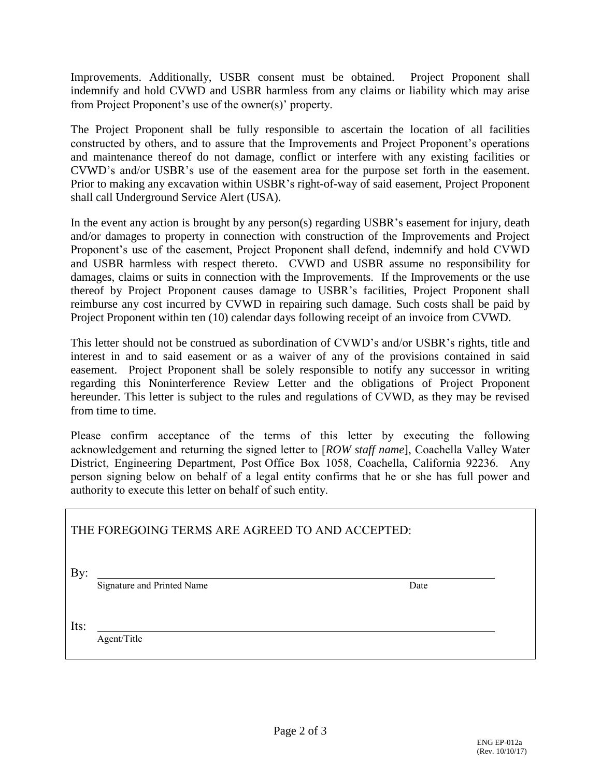Improvements. Additionally, USBR consent must be obtained. Project Proponent shall indemnify and hold CVWD and USBR harmless from any claims or liability which may arise from Project Proponent's use of the owner(s)' property.

The Project Proponent shall be fully responsible to ascertain the location of all facilities constructed by others, and to assure that the Improvements and Project Proponent's operations and maintenance thereof do not damage, conflict or interfere with any existing facilities or CVWD's and/or USBR's use of the easement area for the purpose set forth in the easement. Prior to making any excavation within USBR's right-of-way of said easement, Project Proponent shall call Underground Service Alert (USA).

In the event any action is brought by any person(s) regarding USBR's easement for injury, death and/or damages to property in connection with construction of the Improvements and Project Proponent's use of the easement, Project Proponent shall defend, indemnify and hold CVWD and USBR harmless with respect thereto. CVWD and USBR assume no responsibility for damages, claims or suits in connection with the Improvements. If the Improvements or the use thereof by Project Proponent causes damage to USBR's facilities, Project Proponent shall reimburse any cost incurred by CVWD in repairing such damage. Such costs shall be paid by Project Proponent within ten (10) calendar days following receipt of an invoice from CVWD.

This letter should not be construed as subordination of CVWD's and/or USBR's rights, title and interest in and to said easement or as a waiver of any of the provisions contained in said easement. Project Proponent shall be solely responsible to notify any successor in writing regarding this Noninterference Review Letter and the obligations of Project Proponent hereunder. This letter is subject to the rules and regulations of CVWD, as they may be revised from time to time.

Please confirm acceptance of the terms of this letter by executing the following acknowledgement and returning the signed letter to [*ROW staff name*], Coachella Valley Water District, Engineering Department, Post Office Box 1058, Coachella, California 92236. Any person signing below on behalf of a legal entity confirms that he or she has full power and authority to execute this letter on behalf of such entity.

| THE FOREGOING TERMS ARE AGREED TO AND ACCEPTED: |                            |      |  |
|-------------------------------------------------|----------------------------|------|--|
| By:                                             | Signature and Printed Name | Date |  |
| Its:                                            | Agent/Title                |      |  |